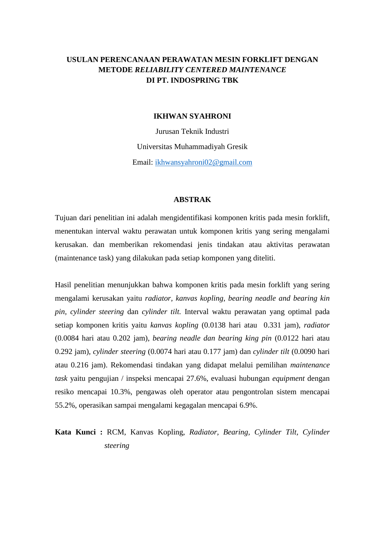## **USULAN PERENCANAAN PERAWATAN MESIN FORKLIFT DENGAN METODE** *RELIABILITY CENTERED MAINTENANCE* **DI PT. INDOSPRING TBK**

## **IKHWAN SYAHRONI**

Jurusan Teknik Industri Universitas Muhammadiyah Gresik Email: [ikhwansyahroni02@gmail.com](mailto:ikhwansyahroni02@gmail.com)

## **ABSTRAK**

Tujuan dari penelitian ini adalah mengidentifikasi komponen kritis pada mesin forklift, menentukan interval waktu perawatan untuk komponen kritis yang sering mengalami kerusakan. dan memberikan rekomendasi jenis tindakan atau aktivitas perawatan (maintenance task) yang dilakukan pada setiap komponen yang diteliti.

Hasil penelitian menunjukkan bahwa komponen kritis pada mesin forklift yang sering mengalami kerusakan yaitu *radiator, kanvas kopling, bearing neadle and bearing kin pin, cylinder steering* dan *cylinder tilt.* Interval waktu perawatan yang optimal pada setiap komponen kritis yaitu *kanvas kopling* (0.0138 hari atau 0.331 jam), *radiator* (0.0084 hari atau 0.202 jam), *bearing neadle dan bearing king pin* (0.0122 hari atau 0.292 jam), *cylinder steering* (0.0074 hari atau 0.177 jam) dan *cylinder tilt* (0.0090 hari atau 0.216 jam). Rekomendasi tindakan yang didapat melalui pemilihan *maintenance task* yaitu pengujian / inspeksi mencapai 27.6%, evaluasi hubungan *equipment* dengan resiko mencapai 10.3%, pengawas oleh operator atau pengontrolan sistem mencapai 55.2%, operasikan sampai mengalami kegagalan mencapai 6.9%.

**Kata Kunci :** RCM, Kanvas Kopling, *Radiator, Bearing, Cylinder Tilt, Cylinder steering*